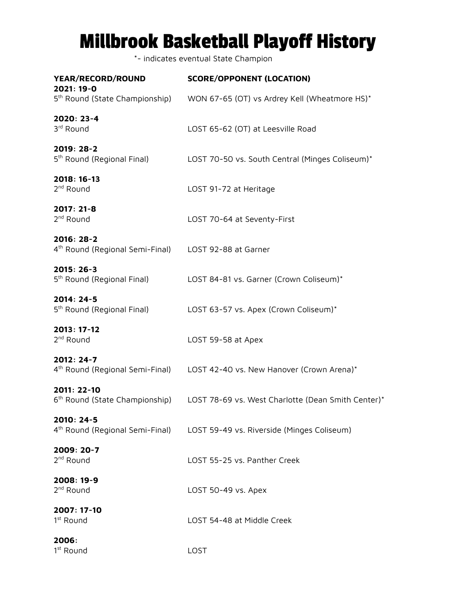# Millbrook Basketball Playoff History

\*- indicates eventual State Champion

| YEAR/RECORD/ROUND<br>2021: 19-0                                                | <b>SCORE/OPPONENT (LOCATION)</b>                                           |
|--------------------------------------------------------------------------------|----------------------------------------------------------------------------|
| 5 <sup>th</sup> Round (State Championship)                                     | WON 67-65 (OT) vs Ardrey Kell (Wheatmore HS)*                              |
| 2020: 23-4<br>3rd Round                                                        | LOST 65-62 (OT) at Leesville Road                                          |
| 2019: 28-2<br>5 <sup>th</sup> Round (Regional Final)                           | LOST 70-50 vs. South Central (Minges Coliseum)*                            |
| 2018: 16-13<br>2 <sup>nd</sup> Round                                           | LOST 91-72 at Heritage                                                     |
| 2017: 21-8<br>2 <sup>nd</sup> Round                                            | LOST 70-64 at Seventy-First                                                |
| 2016: 28-2<br>4 <sup>th</sup> Round (Regional Semi-Final) LOST 92-88 at Garner |                                                                            |
| 2015: 26-3<br>5 <sup>th</sup> Round (Regional Final)                           | LOST 84-81 vs. Garner (Crown Coliseum)*                                    |
| 2014: 24-5<br>5 <sup>th</sup> Round (Regional Final)                           | LOST 63-57 vs. Apex (Crown Coliseum)*                                      |
| 2013: 17-12<br>2 <sup>nd</sup> Round                                           | LOST 59-58 at Apex                                                         |
| 2012: 24-7                                                                     | 4th Round (Regional Semi-Final) LOST 42-40 vs. New Hanover (Crown Arena)*  |
| 2011: 22-10<br>6 <sup>th</sup> Round (State Championship)                      | LOST 78-69 vs. West Charlotte (Dean Smith Center)*                         |
| 2010: 24-5                                                                     | 4th Round (Regional Semi-Final) LOST 59-49 vs. Riverside (Minges Coliseum) |
| 2009: 20-7<br>2 <sup>nd</sup> Round                                            | LOST 55-25 vs. Panther Creek                                               |
| 2008: 19-9<br>2 <sup>nd</sup> Round                                            | LOST 50-49 vs. Apex                                                        |
| 2007: 17-10<br>1 <sup>st</sup> Round                                           | LOST 54-48 at Middle Creek                                                 |
| 2006:<br>1 <sup>st</sup> Round                                                 | LOST                                                                       |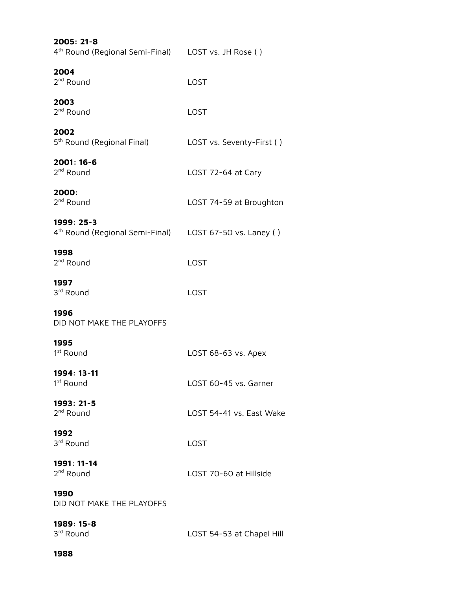| 2005: 21-8<br>4 <sup>th</sup> Round (Regional Semi-Final) LOST vs. JH Rose ()     |                           |
|-----------------------------------------------------------------------------------|---------------------------|
| 2004<br>2 <sup>nd</sup> Round                                                     | LOST                      |
| 2003<br>2 <sup>nd</sup> Round                                                     | LOST                      |
| 2002<br>5 <sup>th</sup> Round (Regional Final)                                    | LOST vs. Seventy-First () |
| 2001: 16-6<br>2 <sup>nd</sup> Round                                               | LOST 72-64 at Cary        |
| 2000:<br>2 <sup>nd</sup> Round                                                    | LOST 74-59 at Broughton   |
| 1999: 25-3<br>4 <sup>th</sup> Round (Regional Semi-Final) LOST 67-50 vs. Laney () |                           |
| 1998<br>2 <sup>nd</sup> Round                                                     | LOST                      |
| 1997<br>3 <sup>rd</sup> Round                                                     | LOST                      |
| 1996<br>DID NOT MAKE THE PLAYOFFS                                                 |                           |
| 1995<br>1 <sup>st</sup> Round                                                     | LOST 68-63 vs. Apex       |
| 1994: 13-11<br>1 <sup>st</sup> Round                                              | LOST 60-45 vs. Garner     |
| 1993: 21-5<br>2 <sup>nd</sup> Round                                               | LOST 54-41 vs. East Wake  |
| 1992<br>3 <sup>rd</sup> Round                                                     | LOST                      |
| 1991: 11-14<br>2 <sup>nd</sup> Round                                              | LOST 70-60 at Hillside    |
| 1990<br>DID NOT MAKE THE PLAYOFFS                                                 |                           |
| 1989: 15-8<br>3rd Round                                                           | LOST 54-53 at Chapel Hill |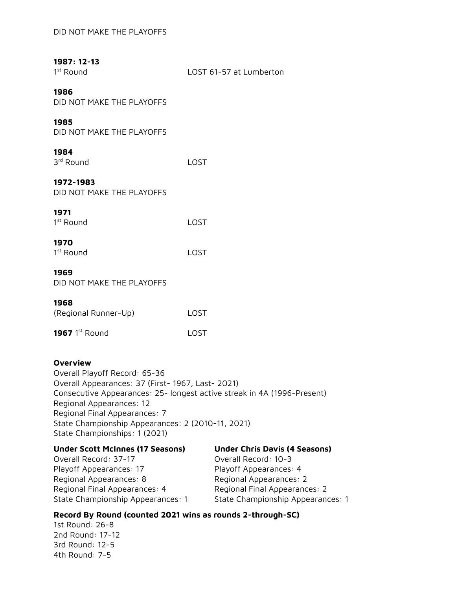# **1987: 12-13**

 $1<sup>st</sup>$  Round

LOST 61-57 at Lumberton

#### **1986**

DID NOT MAKE THE PLAYOFFS

### **1985**

DID NOT MAKE THE PLAYOFFS

## **1984**

| LOST |
|------|
|      |

## **1972-1983**

DID NOT MAKE THE PLAYOFFS

## **1971**

| 1 <sup>st</sup> Round | LOST |
|-----------------------|------|
|                       |      |

## **1970**

| 1 <sup>st</sup> Round | LOST |
|-----------------------|------|
|-----------------------|------|

#### **1969**

DID NOT MAKE THE PLAYOFFS

#### **1968**

| (Regional Runner-Up) | LOST  |
|----------------------|-------|
| 1967 $1st$ Round     | LOST. |

#### **Overview**

Overall Playoff Record: 65-36 Overall Appearances: 37 (First- 1967, Last- 2021) Consecutive Appearances: 25- longest active streak in 4A (1996-Present) Regional Appearances: 12 Regional Final Appearances: 7 State Championship Appearances: 2 (2010-11, 2021) State Championships: 1 (2021)

| <b>Under Scott McInnes (17 Seasons)</b> | <b>Under Chris Davis (4 Seasons)</b> |
|-----------------------------------------|--------------------------------------|
| Overall Record: 37-17                   | Overall Record: 10-3                 |
| Playoff Appearances: 17                 | Playoff Appearances: 4               |
| Regional Appearances: 8                 | Regional Appearances: 2              |
| Regional Final Appearances: 4           | Regional Final Appearances: 2        |
| State Championship Appearances: 1       | State Championship Appearances: 1    |

## **Record By Round (counted 2021 wins as rounds 2-through-SC)**

1st Round: 26-8 2nd Round: 17-12 3rd Round: 12-5 4th Round: 7-5